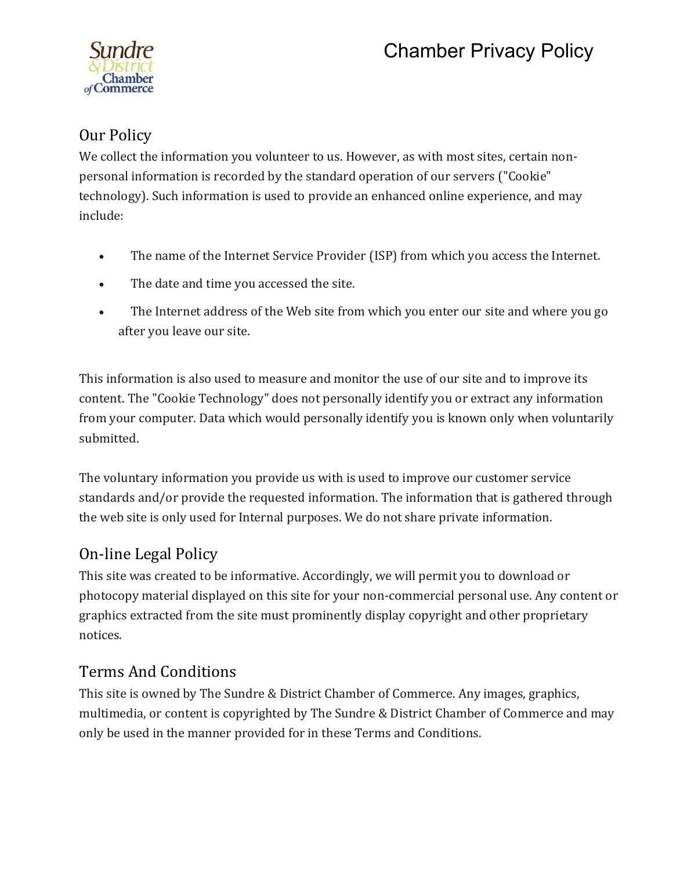# Chamber Privacy Policy



## Our Policy

We collect the information you volunteer to us. However, as with most sites, certain nonpersonal information is recorded by the standard operation of our servers ("Cookie" technology). Such information is used to provide an enhanced online experience, and may include:

- The name of the Internet Service Provider (ISP) from which you access the Internet.
- The date and time you accessed the site.
- The Internet address of the Web site from which you enter our site and where you go after you leave our site.

This information is also used to measure and monitor the use of our site and to improve its content. The "Cookie Technology" does not personally identify you or extract any information from your computer. Data which would personally identify you is known only when voluntarily submitted.

The voluntary information you provide us with is used to improve our customer service standards and/or provide the requested information. The information that is gathered through the web site is only used for Internal purposes. We do not share private information.

### On-line Legal Policy

This site was created to be informative. Accordingly, we will permit you to download or photocopy material displayed on this site for your non-commercial personal use. Any content or graphics extracted from the site must prominently display copyright and other proprietary notices.

### Terms And Conditions

This site is owned by The Sundre & District Chamber of Commerce. Any images, graphics, multimedia, or content is copyrighted by The Sundre & District Chamber of Commerce and may only be used in the manner provided for in these Terms and Conditions.